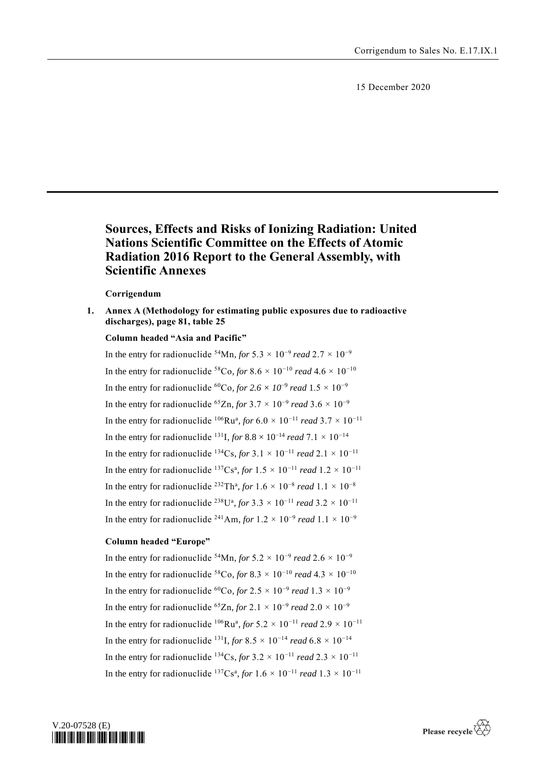15 December 2020

# **Sources, Effects and Risks of Ionizing Radiation: United Nations Scientific Committee on the Effects of Atomic Radiation 2016 Report to the General Assembly, with Scientific Annexes**

## **Corrigendum**

**1. Annex A (Methodology for estimating public exposures due to radioactive discharges), page 81, table 25**

## **Column headed "Asia and Pacific"**

In the entry for radionuclide <sup>54</sup>Mn, *for* 5.3  $\times$  10<sup>-9</sup> *read* 2.7  $\times$  10<sup>-9</sup> In the entry for radionuclide <sup>58</sup>Co, for 8.6  $\times$  10<sup>-10</sup> *read* 4.6  $\times$  10<sup>-10</sup> In the entry for radionuclide <sup>60</sup>Co, for 2.6  $\times$  10<sup>-9</sup> read 1.5  $\times$  10<sup>-9</sup> In the entry for radionuclide <sup>65</sup>Zn, *for* 3.7  $\times$  10<sup>-9</sup> *read* 3.6  $\times$  10<sup>-9</sup> In the entry for radionuclide <sup>106</sup>Ru<sup>a</sup>, *for* 6.0 × 10<sup>-11</sup> *read* 3.7 × 10<sup>-11</sup> In the entry for radionuclide <sup>131</sup>I, *for* 8.8 × 10<sup>-14</sup> *read* 7.1 × 10<sup>-14</sup> In the entry for radionuclide <sup>134</sup>Cs, *for* 3.1 × 10<sup>−11</sup> *read* 2.1 × 10<sup>−11</sup> In the entry for radionuclide <sup>137</sup>Cs<sup>a</sup>, *for*  $1.5 \times 10^{-11}$  *read*  $1.2 \times 10^{-11}$ In the entry for radionuclide <sup>232</sup>Th<sup>a</sup>, *for*  $1.6 \times 10^{-8}$  *read*  $1.1 \times 10^{-8}$ In the entry for radionuclide <sup>238</sup>U<sup>a</sup>, *for* 3.3 × 10<sup>-11</sup> *read* 3.2 × 10<sup>-11</sup> In the entry for radionuclide <sup>241</sup>Am, *for*  $1.2 \times 10^{-9}$  *read*  $1.1 \times 10^{-9}$ 

### **Column headed "Europe"**

In the entry for radionuclide <sup>54</sup>Mn, *for*  $5.2 \times 10^{-9}$  *read*  $2.6 \times 10^{-9}$ In the entry for radionuclide <sup>58</sup>Co, *for* 8.3 × 10<sup>-10</sup> *read* 4.3 × 10<sup>-10</sup> In the entry for radionuclide <sup>60</sup>Co, *for* 2.5  $\times$  10<sup>-9</sup> *read* 1.3  $\times$  10<sup>-9</sup> In the entry for radionuclide <sup>65</sup>Zn, *for* 2.1 × 10<sup>-9</sup> *read* 2.0 × 10<sup>-9</sup> In the entry for radionuclide <sup>106</sup>Ru<sup>a</sup>, *for* 5.2 × 10<sup>-11</sup> *read* 2.9 × 10<sup>-11</sup> In the entry for radionuclide <sup>131</sup>I, *for* 8.5  $\times$  10<sup>-14</sup> *read* 6.8  $\times$  10<sup>-14</sup> In the entry for radionuclide <sup>134</sup>Cs, *for* 3.2 × 10<sup>-11</sup> *read* 2.3 × 10<sup>-11</sup> In the entry for radionuclide <sup>137</sup>Cs<sup>a</sup>, *for*  $1.6 \times 10^{-11}$  *read*  $1.3 \times 10^{-11}$ 

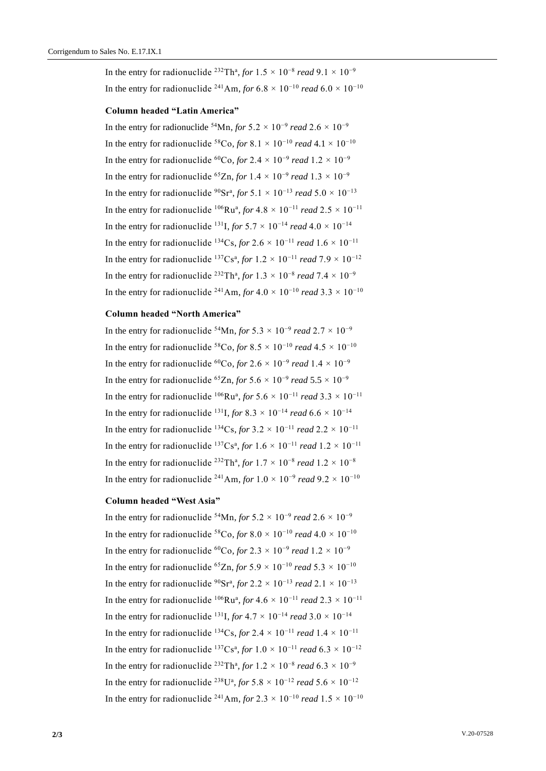In the entry for radionuclide <sup>232</sup>Th<sup>a</sup>, *for*  $1.5 \times 10^{-8}$  *read*  $9.1 \times 10^{-9}$ In the entry for radionuclide <sup>241</sup>Am, *for* 6.8 × 10<sup>-10</sup> *read* 6.0 × 10<sup>-10</sup>

#### **Column headed "Latin America"**

In the entry for radionuclide <sup>54</sup>Mn, *for* 5.2 × 10<sup>-9</sup> *read* 2.6 × 10<sup>-9</sup> In the entry for radionuclide <sup>58</sup>Co, *for* 8.1 × 10<sup>-10</sup> *read* 4.1 × 10<sup>-10</sup> In the entry for radionuclide <sup>60</sup>Co, *for* 2.4  $\times$  10<sup>-9</sup> *read* 1.2  $\times$  10<sup>-9</sup> In the entry for radionuclide <sup>65</sup>Zn, *for*  $1.4 \times 10^{-9}$  *read*  $1.3 \times 10^{-9}$ In the entry for radionuclide <sup>90</sup>Sr<sup>a</sup>, *for* 5.1 × 10<sup>-13</sup> *read* 5.0 × 10<sup>-13</sup> In the entry for radionuclide <sup>106</sup>Ru<sup>a</sup>, *for* 4.8  $\times$  10<sup>-11</sup> *read* 2.5  $\times$  10<sup>-11</sup> In the entry for radionuclide <sup>131</sup>I, *for*  $5.7 \times 10^{-14}$  *read*  $4.0 \times 10^{-14}$ In the entry for radionuclide <sup>134</sup>Cs, *for* 2.6 × 10<sup>-11</sup> *read* 1.6 × 10<sup>-11</sup> In the entry for radionuclide <sup>137</sup>Cs<sup>a</sup>, *for*  $1.2 \times 10^{-11}$  *read*  $7.9 \times 10^{-12}$ In the entry for radionuclide <sup>232</sup>Th<sup>a</sup>, *for*  $1.3 \times 10^{-8}$  *read*  $7.4 \times 10^{-9}$ In the entry for radionuclide <sup>241</sup>Am, *for* 4.0 × 10<sup>-10</sup> *read* 3.3 × 10<sup>-10</sup>

#### **Column headed "North America"**

In the entry for radionuclide <sup>54</sup>Mn, *for* 5.3  $\times$  10<sup>-9</sup> *read* 2.7  $\times$  10<sup>-9</sup> In the entry for radionuclide <sup>58</sup>Co, *for* 8.5  $\times$  10<sup>-10</sup> *read* 4.5  $\times$  10<sup>-10</sup> In the entry for radionuclide <sup>60</sup>Co, *for* 2.6  $\times$  10<sup>-9</sup> *read* 1.4  $\times$  10<sup>-9</sup> In the entry for radionuclide <sup>65</sup>Zn, *for* 5.6  $\times$  10<sup>-9</sup> *read* 5.5  $\times$  10<sup>-9</sup> In the entry for radionuclide <sup>106</sup>Ru<sup>a</sup>, *for* 5.6  $\times$  10<sup>-11</sup> *read* 3.3  $\times$  10<sup>-11</sup> In the entry for radionuclide <sup>131</sup>I, *for* 8.3 × 10<sup>-14</sup> *read* 6.6 × 10<sup>-14</sup> In the entry for radionuclide <sup>134</sup>Cs, *for* 3.2 × 10<sup>-11</sup> *read* 2.2 × 10<sup>-11</sup> In the entry for radionuclide <sup>137</sup>Cs<sup>a</sup>, *for*  $1.6 \times 10^{-11}$  *read*  $1.2 \times 10^{-11}$ In the entry for radionuclide <sup>232</sup>Th<sup>a</sup>, *for*  $1.7 \times 10^{-8}$  *read*  $1.2 \times 10^{-8}$ In the entry for radionuclide <sup>241</sup>Am, *for*  $1.0 \times 10^{-9}$  *read*  $9.2 \times 10^{-10}$ 

#### **Column headed "West Asia"**

In the entry for radionuclide <sup>54</sup>Mn, *for* 5.2  $\times$  10<sup>-9</sup> *read* 2.6  $\times$  10<sup>-9</sup> In the entry for radionuclide <sup>58</sup>Co, *for* 8.0 × 10<sup>-10</sup> *read* 4.0 × 10<sup>-10</sup> In the entry for radionuclide <sup>60</sup>Co, *for* 2.3  $\times$  10<sup>-9</sup> *read* 1.2  $\times$  10<sup>-9</sup> In the entry for radionuclide <sup>65</sup>Zn, *for*  $5.9 \times 10^{-10}$  *read*  $5.3 \times 10^{-10}$ In the entry for radionuclide <sup>90</sup>Sr<sup>a</sup>, *for* 2.2 × 10<sup>-13</sup> *read* 2.1 × 10<sup>-13</sup> In the entry for radionuclide <sup>106</sup>Ru<sup>a</sup>, *for* 4.6 × 10<sup>-11</sup> *read* 2.3 × 10<sup>-11</sup> In the entry for radionuclide <sup>131</sup>I, *for* 4.7 × 10<sup>-14</sup> *read* 3.0 × 10<sup>-14</sup> In the entry for radionuclide <sup>134</sup>Cs, *for* 2.4 × 10<sup>−11</sup> *read* 1.4 × 10<sup>−11</sup> In the entry for radionuclide <sup>137</sup>Cs<sup>a</sup>, *for*  $1.0 \times 10^{-11}$  *read*  $6.3 \times 10^{-12}$ In the entry for radionuclide <sup>232</sup>Th<sup>a</sup>, *for*  $1.2 \times 10^{-8}$  *read*  $6.3 \times 10^{-9}$ In the entry for radionuclide <sup>238</sup>U<sup>a</sup>, *for* 5.8 × 10<sup>-12</sup> *read* 5.6 × 10<sup>-12</sup> In the entry for radionuclide <sup>241</sup>Am, *for* 2.3 × 10<sup>-10</sup> *read* 1.5 × 10<sup>-10</sup>